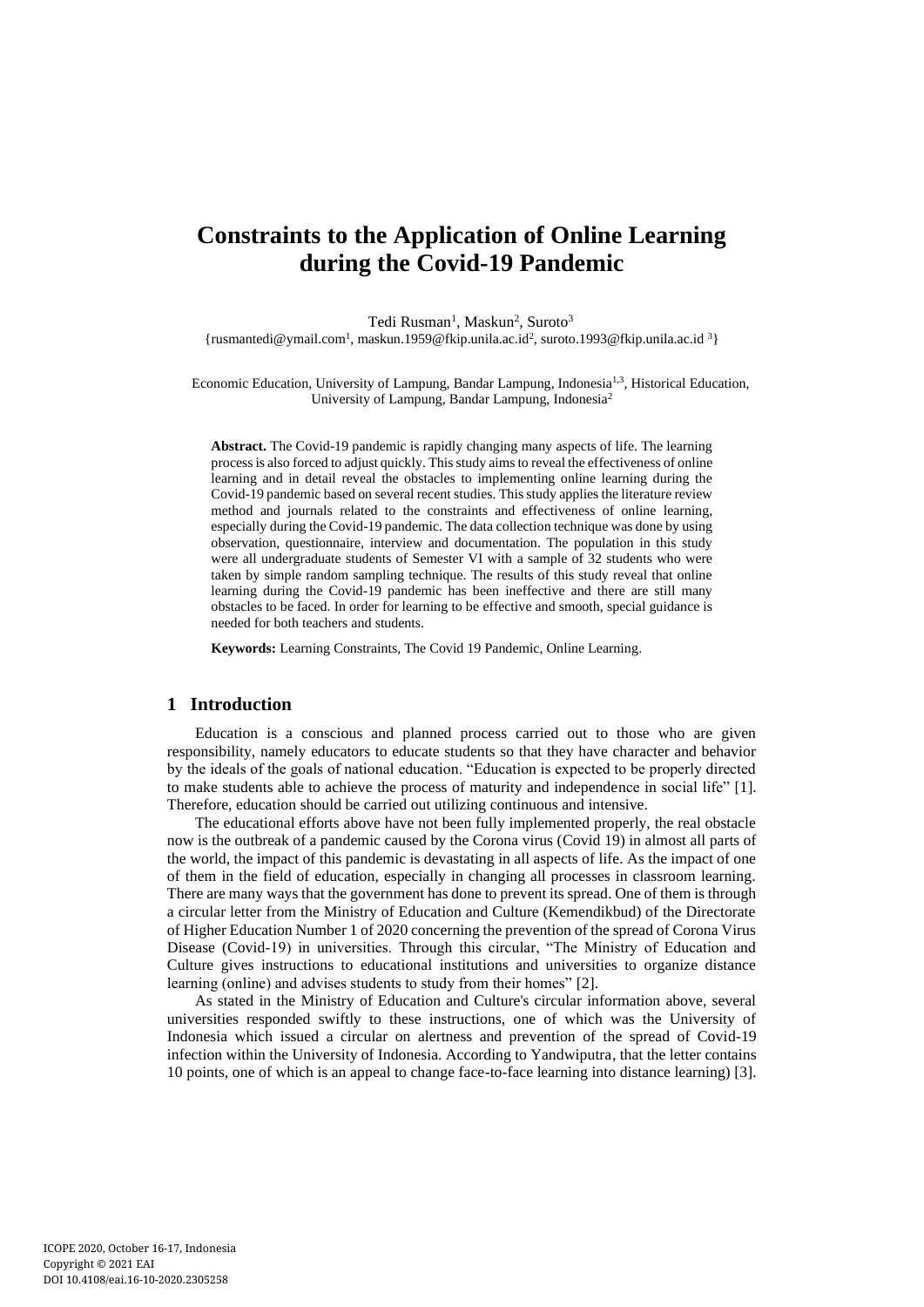# **Constraints to the Application of Online Learning during the Covid-19 Pandemic**

Tedi Rusman<sup>1</sup>, Maskun<sup>2</sup>, Suroto<sup>3</sup> {rusmantedi@ymail.com<sup>1</sup> , maskun.1959@fkip.unila.ac.id<sup>2</sup> , suroto.1993@fkip.unila.ac.id <sup>3</sup>}

Economic Education, University of Lampung, Bandar Lampung, Indonesia<sup>1,3</sup>, Historical Education, University of Lampung, Bandar Lampung, Indonesia<sup>2</sup>

**Abstract.** The Covid-19 pandemic is rapidly changing many aspects of life. The learning process is also forced to adjust quickly. This study aims to reveal the effectiveness of online learning and in detail reveal the obstacles to implementing online learning during the Covid-19 pandemic based on several recent studies. This study applies the literature review method and journals related to the constraints and effectiveness of online learning, especially during the Covid-19 pandemic. The data collection technique was done by using observation, questionnaire, interview and documentation. The population in this study were all undergraduate students of Semester VI with a sample of 32 students who were taken by simple random sampling technique. The results of this study reveal that online learning during the Covid-19 pandemic has been ineffective and there are still many obstacles to be faced. In order for learning to be effective and smooth, special guidance is needed for both teachers and students.

**Keywords:** Learning Constraints, The Covid 19 Pandemic, Online Learning.

## **1 Introduction**

Education is a conscious and planned process carried out to those who are given responsibility, namely educators to educate students so that they have character and behavior by the ideals of the goals of national education. "Education is expected to be properly directed to make students able to achieve the process of maturity and independence in social life" [1]. Therefore, education should be carried out utilizing continuous and intensive.

The educational efforts above have not been fully implemented properly, the real obstacle now is the outbreak of a pandemic caused by the Corona virus (Covid 19) in almost all parts of the world, the impact of this pandemic is devastating in all aspects of life. As the impact of one of them in the field of education, especially in changing all processes in classroom learning. There are many ways that the government has done to prevent its spread. One of them is through a circular letter from the Ministry of Education and Culture (Kemendikbud) of the Directorate of Higher Education Number 1 of 2020 concerning the prevention of the spread of Corona Virus Disease (Covid-19) in universities. Through this circular, "The Ministry of Education and Culture gives instructions to educational institutions and universities to organize distance learning (online) and advises students to study from their homes" [2].

As stated in the Ministry of Education and Culture's circular information above, several universities responded swiftly to these instructions, one of which was the University of Indonesia which issued a circular on alertness and prevention of the spread of Covid-19 infection within the University of Indonesia. According to Yandwiputra, that the letter contains 10 points, one of which is an appeal to change face-to-face learning into distance learning) [3].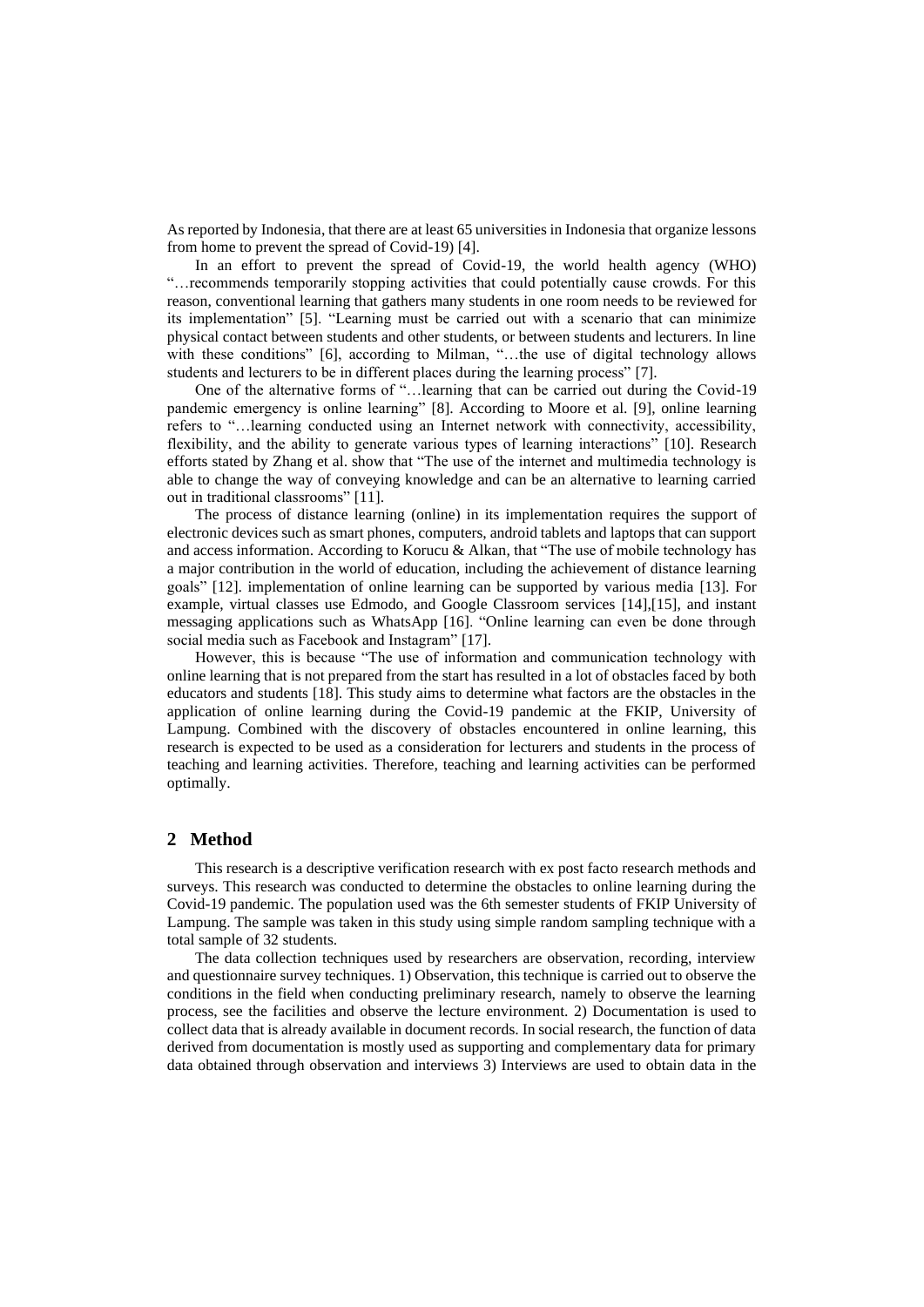As reported by Indonesia, that there are at least 65 universities in Indonesia that organize lessons from home to prevent the spread of Covid-19) [4].

In an effort to prevent the spread of Covid-19, the world health agency (WHO) "…recommends temporarily stopping activities that could potentially cause crowds. For this reason, conventional learning that gathers many students in one room needs to be reviewed for its implementation" [5]. "Learning must be carried out with a scenario that can minimize physical contact between students and other students, or between students and lecturers. In line with these conditions" [6], according to Milman, "…the use of digital technology allows students and lecturers to be in different places during the learning process" [7].

One of the alternative forms of "…learning that can be carried out during the Covid-19 pandemic emergency is online learning" [8]. According to Moore et al. [9], online learning refers to "…learning conducted using an Internet network with connectivity, accessibility, flexibility, and the ability to generate various types of learning interactions" [10]. Research efforts stated by Zhang et al. show that "The use of the internet and multimedia technology is able to change the way of conveying knowledge and can be an alternative to learning carried out in traditional classrooms" [11].

The process of distance learning (online) in its implementation requires the support of electronic devices such as smart phones, computers, android tablets and laptops that can support and access information. According to Korucu & Alkan, that "The use of mobile technology has a major contribution in the world of education, including the achievement of distance learning goals" [12]. implementation of online learning can be supported by various media [13]. For example, virtual classes use Edmodo, and Google Classroom services [14],[15], and instant messaging applications such as WhatsApp [16]. "Online learning can even be done through social media such as Facebook and Instagram" [17].

However, this is because "The use of information and communication technology with online learning that is not prepared from the start has resulted in a lot of obstacles faced by both educators and students [18]. This study aims to determine what factors are the obstacles in the application of online learning during the Covid-19 pandemic at the FKIP, University of Lampung. Combined with the discovery of obstacles encountered in online learning, this research is expected to be used as a consideration for lecturers and students in the process of teaching and learning activities. Therefore, teaching and learning activities can be performed optimally.

#### **2 Method**

This research is a descriptive verification research with ex post facto research methods and surveys. This research was conducted to determine the obstacles to online learning during the Covid-19 pandemic. The population used was the 6th semester students of FKIP University of Lampung. The sample was taken in this study using simple random sampling technique with a total sample of 32 students.

The data collection techniques used by researchers are observation, recording, interview and questionnaire survey techniques. 1) Observation, this technique is carried out to observe the conditions in the field when conducting preliminary research, namely to observe the learning process, see the facilities and observe the lecture environment. 2) Documentation is used to collect data that is already available in document records. In social research, the function of data derived from documentation is mostly used as supporting and complementary data for primary data obtained through observation and interviews 3) Interviews are used to obtain data in the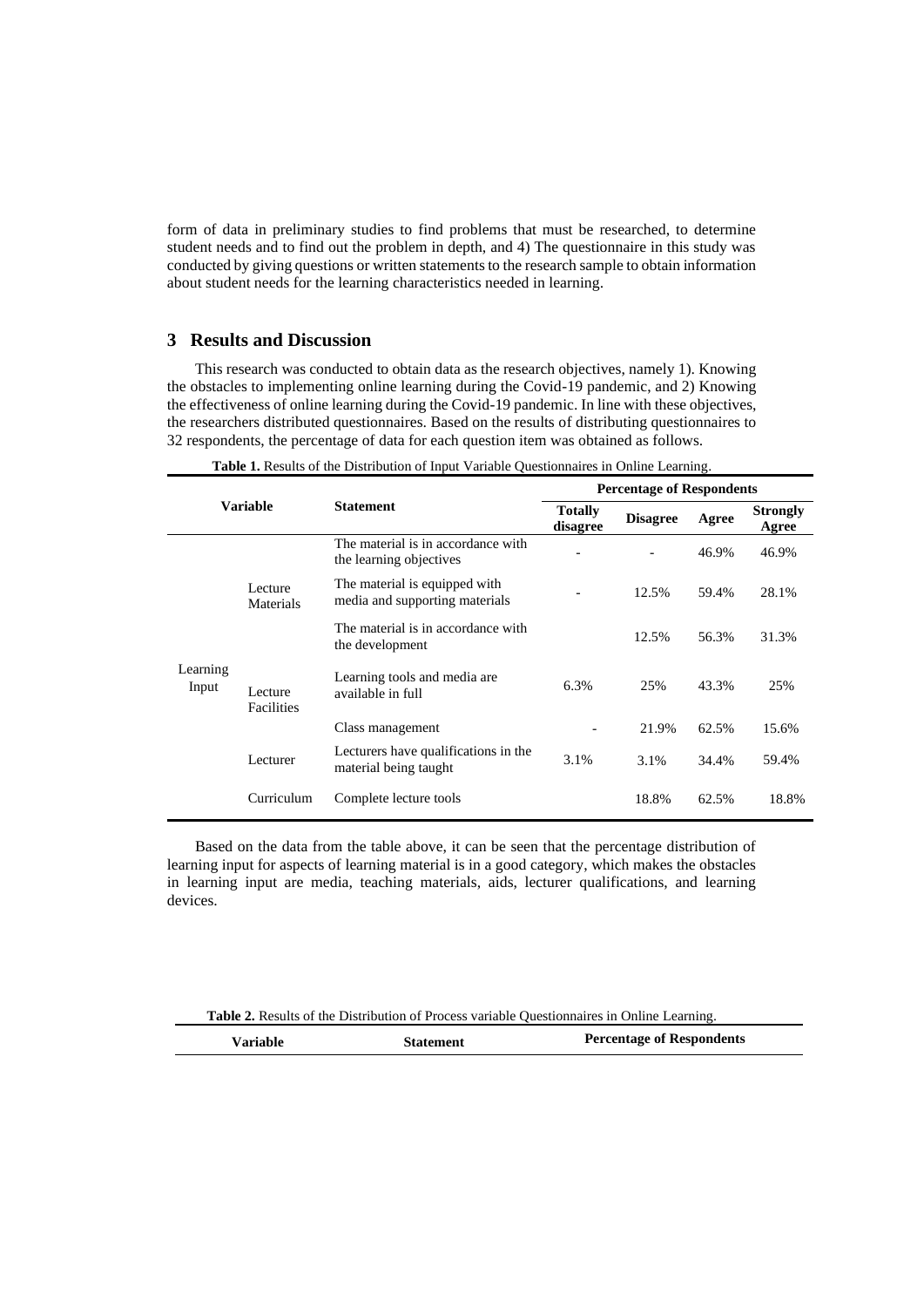form of data in preliminary studies to find problems that must be researched, to determine student needs and to find out the problem in depth, and 4) The questionnaire in this study was conducted by giving questions or written statements to the research sample to obtain information about student needs for the learning characteristics needed in learning.

## **3 Results and Discussion**

This research was conducted to obtain data as the research objectives, namely 1). Knowing the obstacles to implementing online learning during the Covid-19 pandemic, and 2) Knowing the effectiveness of online learning during the Covid-19 pandemic. In line with these objectives, the researchers distributed questionnaires. Based on the results of distributing questionnaires to 32 respondents, the percentage of data for each question item was obtained as follows.

| Variable          |                       |                                                                 | <b>Percentage of Respondents</b> |                 |       |                          |
|-------------------|-----------------------|-----------------------------------------------------------------|----------------------------------|-----------------|-------|--------------------------|
|                   |                       | <b>Statement</b>                                                | <b>Totally</b><br>disagree       | <b>Disagree</b> | Agree | <b>Strongly</b><br>Agree |
| Learning<br>Input | Lecture<br>Materials  | The material is in accordance with<br>the learning objectives   |                                  |                 | 46.9% | 46.9%                    |
|                   |                       | The material is equipped with<br>media and supporting materials |                                  | 12.5%           | 59.4% | 28.1%                    |
|                   |                       | The material is in accordance with<br>the development           |                                  | 12.5%           | 56.3% | 31.3%                    |
|                   | Lecture<br>Facilities | Learning tools and media are.<br>available in full              | 6.3%                             | 25%             | 43.3% | 25%                      |
|                   |                       | Class management                                                |                                  | 21.9%           | 62.5% | 15.6%                    |
|                   | Lecturer              | Lecturers have qualifications in the<br>material being taught   | 3.1%                             | 3.1%            | 34.4% | 59.4%                    |
|                   | Curriculum            | Complete lecture tools                                          |                                  | 18.8%           | 62.5% | 18.8%                    |

**Table 1.** Results of the Distribution of Input Variable Questionnaires in Online Learning.

Based on the data from the table above, it can be seen that the percentage distribution of learning input for aspects of learning material is in a good category, which makes the obstacles in learning input are media, teaching materials, aids, lecturer qualifications, and learning devices.

**Table 2.** Results of the Distribution of Process variable Questionnaires in Online Learning.

| Variable | <b>Statement</b> | <b>Percentage of Respondents</b> |
|----------|------------------|----------------------------------|
|----------|------------------|----------------------------------|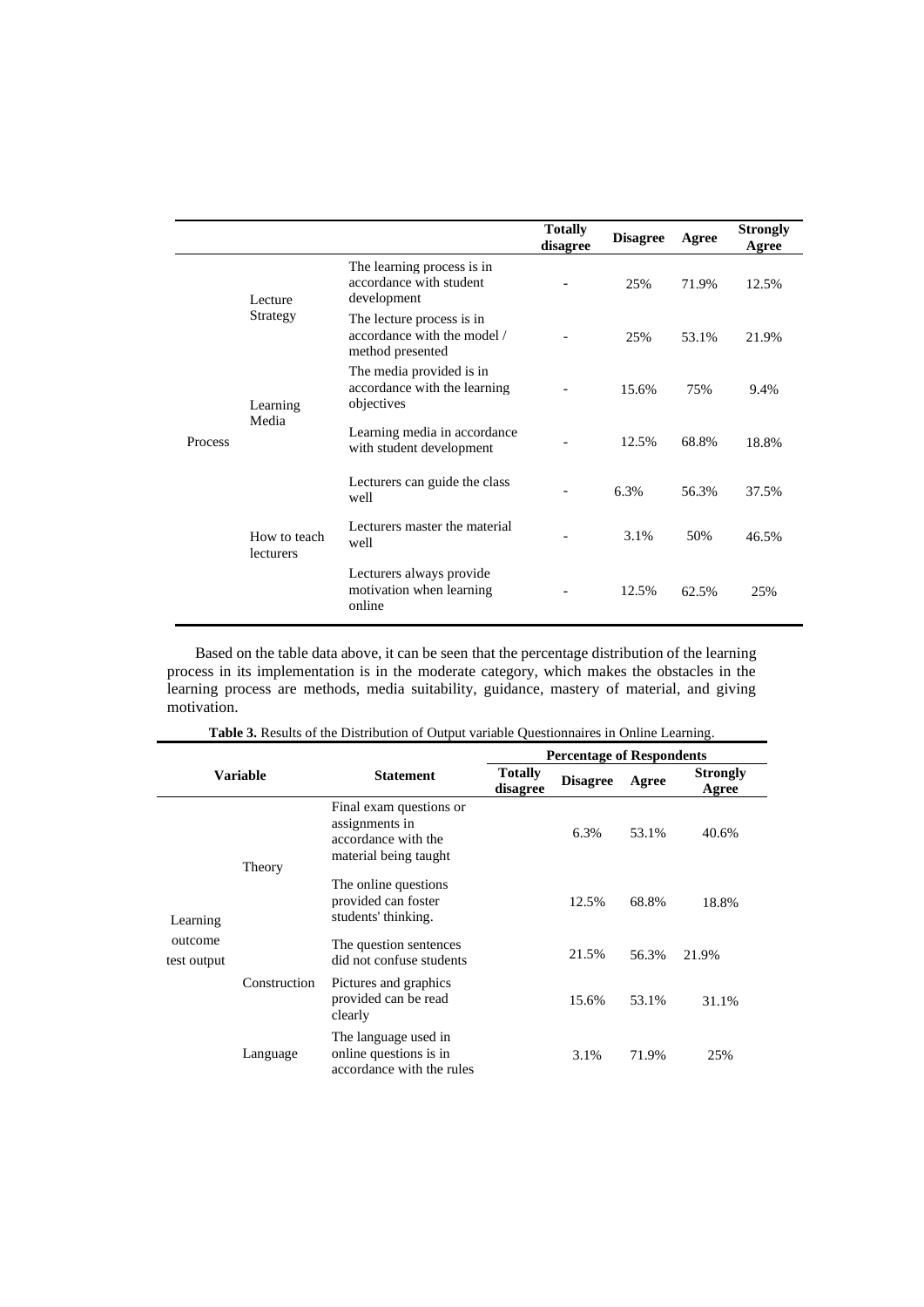|                |                           |                                                                              | <b>Totally</b><br>disagree | <b>Disagree</b> | Agree | <b>Strongly</b><br>Agree |
|----------------|---------------------------|------------------------------------------------------------------------------|----------------------------|-----------------|-------|--------------------------|
| <b>Process</b> | Lecture<br>Strategy       | The learning process is in<br>accordance with student<br>development         |                            | 25%             | 71.9% | 12.5%                    |
|                |                           | The lecture process is in<br>accordance with the model /<br>method presented |                            | 25%             | 53.1% | 21.9%                    |
|                | Learning<br>Media         | The media provided is in<br>accordance with the learning<br>objectives       |                            | 15.6%           | 75%   | 9.4%                     |
|                |                           | Learning media in accordance<br>with student development                     |                            | 12.5%           | 68.8% | 18.8%                    |
|                | How to teach<br>lecturers | Lecturers can guide the class<br>well                                        |                            | 6.3%            | 56.3% | 37.5%                    |
|                |                           | Lecturers master the material<br>well                                        |                            | 3.1%            | 50%   | 46.5%                    |
|                |                           | Lecturers always provide<br>motivation when learning<br>online               |                            | 12.5%           | 62.5% | 25%                      |

Based on the table data above, it can be seen that the percentage distribution of the learning process in its implementation is in the moderate category, which makes the obstacles in the learning process are methods, media suitability, guidance, mastery of material, and giving motivation.

|                        |              | <b>Percentage of Respondents</b>                                                          |                            |                 |       |                          |
|------------------------|--------------|-------------------------------------------------------------------------------------------|----------------------------|-----------------|-------|--------------------------|
| <b>Variable</b>        |              | <b>Statement</b>                                                                          | <b>Totally</b><br>disagree | <b>Disagree</b> | Agree | <b>Strongly</b><br>Agree |
|                        | Theory       | Final exam questions or<br>assignments in<br>accordance with the<br>material being taught |                            | 6.3%            | 53.1% | 40.6%                    |
| Learning               |              | The online questions<br>provided can foster<br>students' thinking.                        |                            | 12.5%           | 68.8% | 18.8%                    |
| outcome<br>test output | Construction | The question sentences<br>did not confuse students                                        |                            | 21.5%           | 56.3% | 21.9%                    |
|                        |              | Pictures and graphics<br>provided can be read<br>clearly                                  |                            | 15.6%           | 53.1% | 31.1%                    |
|                        | Language     | The language used in<br>online questions is in<br>accordance with the rules               |                            | 3.1%            | 71.9% | 25%                      |

**Table 3.** Results of the Distribution of Output variable Questionnaires in Online Learning.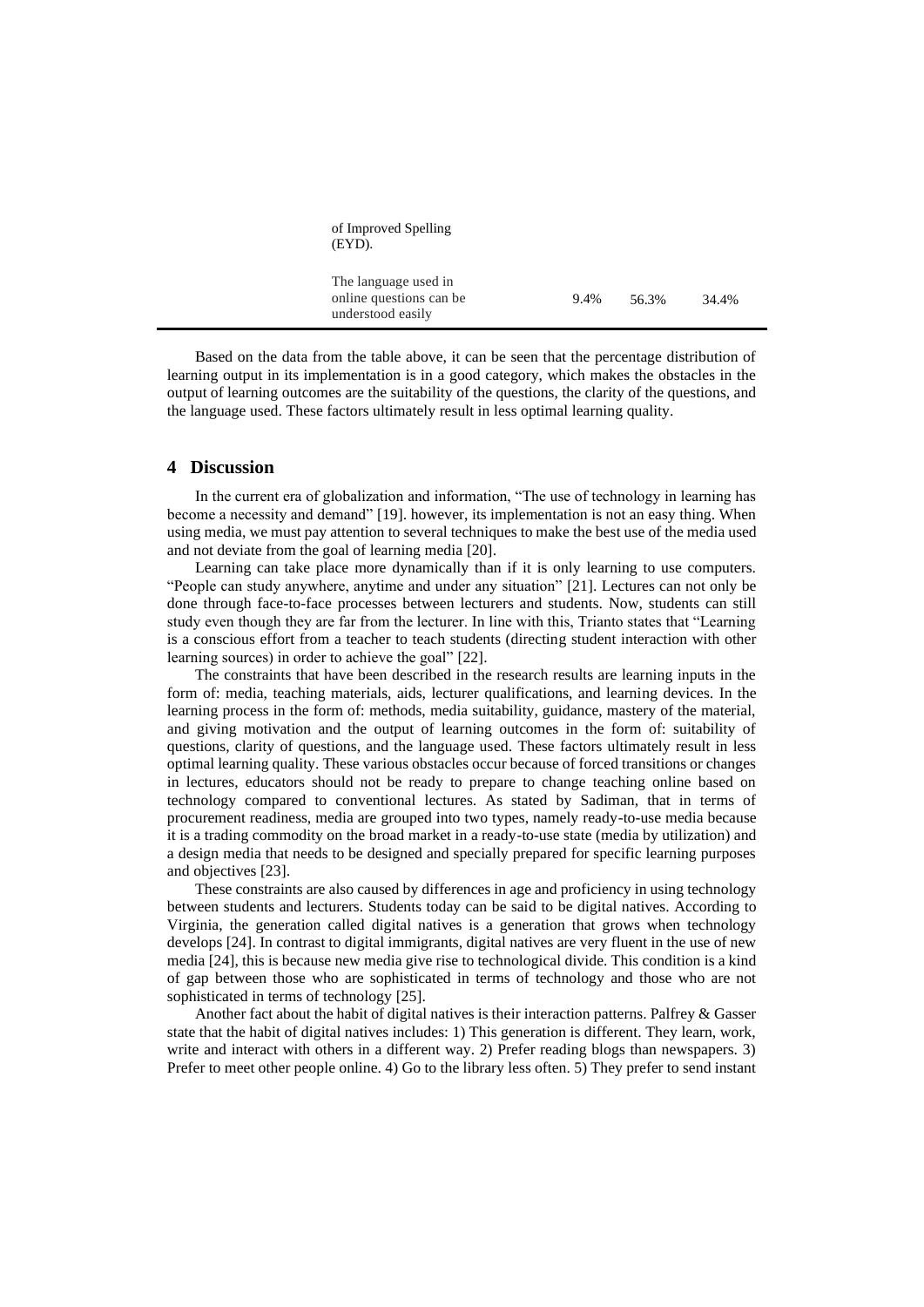| of Improved Spelling<br>(EYD).                                       |      |       |       |
|----------------------------------------------------------------------|------|-------|-------|
| The language used in<br>online questions can be<br>understood easily | 9.4% | 56.3% | 34.4% |

Based on the data from the table above, it can be seen that the percentage distribution of learning output in its implementation is in a good category, which makes the obstacles in the output of learning outcomes are the suitability of the questions, the clarity of the questions, and the language used. These factors ultimately result in less optimal learning quality.

## **4 Discussion**

In the current era of globalization and information, "The use of technology in learning has become a necessity and demand" [19]. however, its implementation is not an easy thing. When using media, we must pay attention to several techniques to make the best use of the media used and not deviate from the goal of learning media [20].

Learning can take place more dynamically than if it is only learning to use computers. "People can study anywhere, anytime and under any situation" [21]. Lectures can not only be done through face-to-face processes between lecturers and students. Now, students can still study even though they are far from the lecturer. In line with this, Trianto states that "Learning is a conscious effort from a teacher to teach students (directing student interaction with other learning sources) in order to achieve the goal" [22].

The constraints that have been described in the research results are learning inputs in the form of: media, teaching materials, aids, lecturer qualifications, and learning devices. In the learning process in the form of: methods, media suitability, guidance, mastery of the material, and giving motivation and the output of learning outcomes in the form of: suitability of questions, clarity of questions, and the language used. These factors ultimately result in less optimal learning quality. These various obstacles occur because of forced transitions or changes in lectures, educators should not be ready to prepare to change teaching online based on technology compared to conventional lectures. As stated by Sadiman, that in terms of procurement readiness, media are grouped into two types, namely ready-to-use media because it is a trading commodity on the broad market in a ready-to-use state (media by utilization) and a design media that needs to be designed and specially prepared for specific learning purposes and objectives [23].

These constraints are also caused by differences in age and proficiency in using technology between students and lecturers. Students today can be said to be digital natives. According to Virginia, the generation called digital natives is a generation that grows when technology develops [24]. In contrast to digital immigrants, digital natives are very fluent in the use of new media [24], this is because new media give rise to technological divide. This condition is a kind of gap between those who are sophisticated in terms of technology and those who are not sophisticated in terms of technology [25].

Another fact about the habit of digital natives is their interaction patterns. Palfrey & Gasser state that the habit of digital natives includes: 1) This generation is different. They learn, work, write and interact with others in a different way. 2) Prefer reading blogs than newspapers. 3) Prefer to meet other people online. 4) Go to the library less often. 5) They prefer to send instant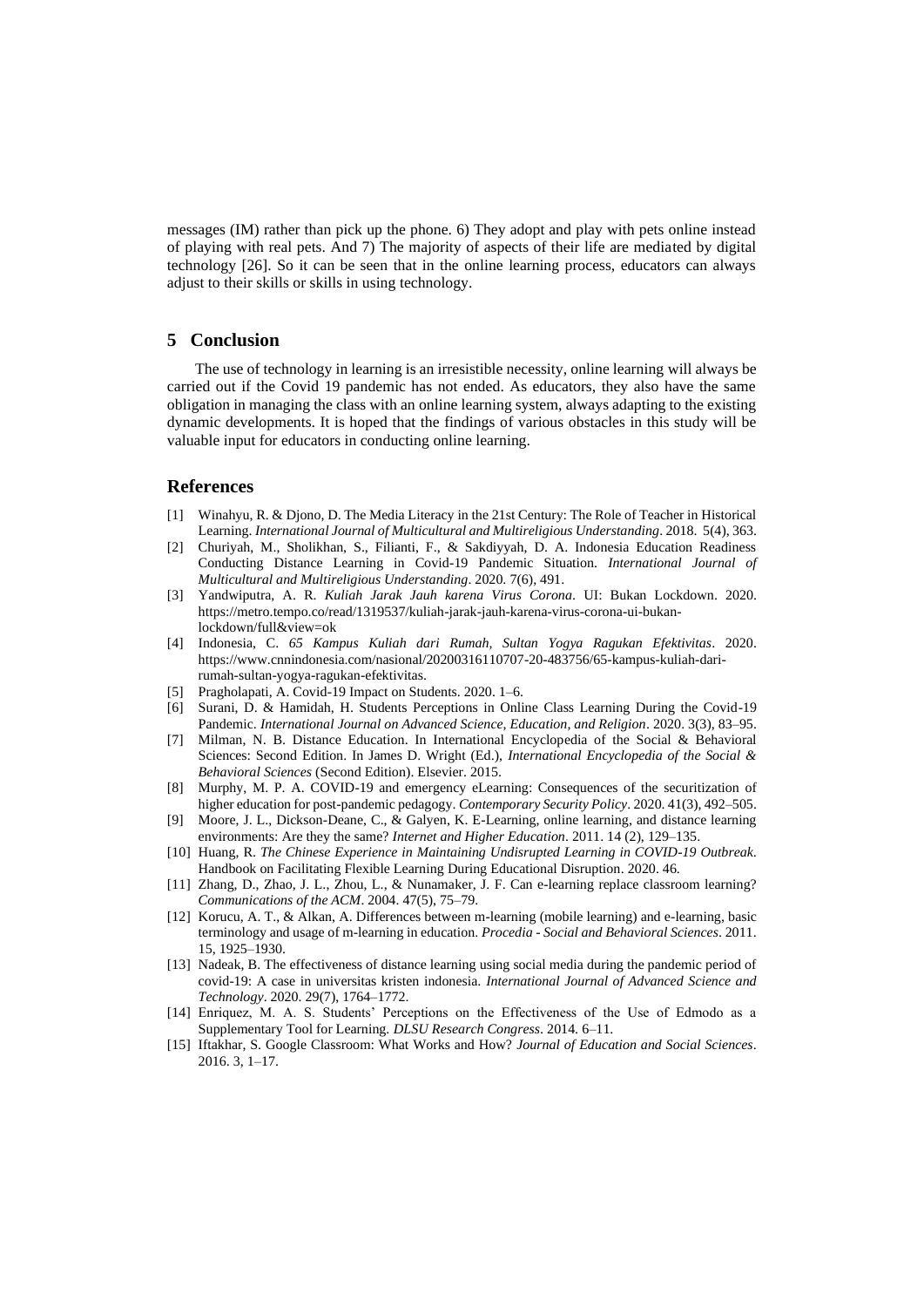messages (IM) rather than pick up the phone. 6) They adopt and play with pets online instead of playing with real pets. And 7) The majority of aspects of their life are mediated by digital technology [26]. So it can be seen that in the online learning process, educators can always adjust to their skills or skills in using technology.

### **5 Conclusion**

The use of technology in learning is an irresistible necessity, online learning will always be carried out if the Covid 19 pandemic has not ended. As educators, they also have the same obligation in managing the class with an online learning system, always adapting to the existing dynamic developments. It is hoped that the findings of various obstacles in this study will be valuable input for educators in conducting online learning.

## **References**

- [1] Winahyu, R. & Djono, D. The Media Literacy in the 21st Century: The Role of Teacher in Historical Learning. *International Journal of Multicultural and Multireligious Understanding*. 2018. 5(4), 363.
- [2] Churiyah, M., Sholikhan, S., Filianti, F., & Sakdiyyah, D. A. Indonesia Education Readiness Conducting Distance Learning in Covid-19 Pandemic Situation. *International Journal of Multicultural and Multireligious Understanding*. 2020. 7(6), 491.
- [3] Yandwiputra, A. R. *Kuliah Jarak Jauh karena Virus Corona*. UI: Bukan Lockdown. 2020. https://metro.tempo.co/read/1319537/kuliah-jarak-jauh-karena-virus-corona-ui-bukanlockdown/full&view=ok
- [4] Indonesia, C. *65 Kampus Kuliah dari Rumah, Sultan Yogya Ragukan Efektivitas*. 2020. https://www.cnnindonesia.com/nasional/20200316110707-20-483756/65-kampus-kuliah-darirumah-sultan-yogya-ragukan-efektivitas.
- [5] Pragholapati, A. Covid-19 Impact on Students. 2020. 1–6.
- [6] Surani, D. & Hamidah, H. Students Perceptions in Online Class Learning During the Covid-19 Pandemic. *International Journal on Advanced Science, Education, and Religion*. 2020. 3(3), 83–95.
- [7] Milman, N. B. Distance Education. In International Encyclopedia of the Social & Behavioral Sciences: Second Edition. In James D. Wright (Ed.), *International Encyclopedia of the Social & Behavioral Sciences* (Second Edition). Elsevier. 2015.
- [8] Murphy, M. P. A. COVID-19 and emergency eLearning: Consequences of the securitization of higher education for post-pandemic pedagogy. *Contemporary Security Policy*. 2020. 41(3), 492–505.
- [9] Moore, J. L., Dickson-Deane, C., & Galyen, K. E-Learning, online learning, and distance learning environments: Are they the same? *Internet and Higher Education*. 2011. 14 (2), 129–135.
- [10] Huang, R. *The Chinese Experience in Maintaining Undisrupted Learning in COVID-19 Outbreak*. Handbook on Facilitating Flexible Learning During Educational Disruption. 2020. 46.
- [11] Zhang, D., Zhao, J. L., Zhou, L., & Nunamaker, J. F. Can e-learning replace classroom learning? *Communications of the ACM*. 2004. 47(5), 75–79.
- [12] Korucu, A. T., & Alkan, A. Differences between m-learning (mobile learning) and e-learning, basic terminology and usage of m-learning in education. *Procedia - Social and Behavioral Sciences*. 2011. 15, 1925–1930.
- [13] Nadeak, B. The effectiveness of distance learning using social media during the pandemic period of covid-19: A case in universitas kristen indonesia. *International Journal of Advanced Science and Technology*. 2020. 29(7), 1764–1772.
- [14] Enriquez, M. A. S. Students' Perceptions on the Effectiveness of the Use of Edmodo as a Supplementary Tool for Learning. *DLSU Research Congress*. 2014. 6–11.
- [15] Iftakhar, S. Google Classroom: What Works and How? *Journal of Education and Social Sciences*. 2016. 3, 1–17.